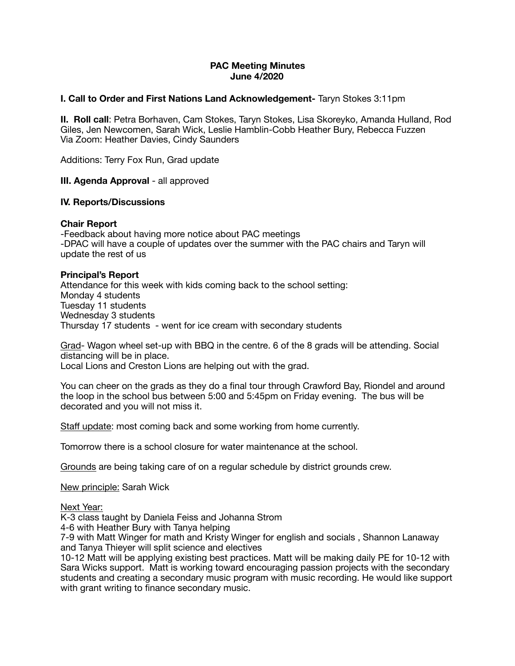# **PAC Meeting Minutes June 4/2020**

## **I. Call to Order and First Nations Land Acknowledgement-** Taryn Stokes 3:11pm

**II. Roll call**: Petra Borhaven, Cam Stokes, Taryn Stokes, Lisa Skoreyko, Amanda Hulland, Rod Giles, Jen Newcomen, Sarah Wick, Leslie Hamblin-Cobb Heather Bury, Rebecca Fuzzen Via Zoom: Heather Davies, Cindy Saunders

Additions: Terry Fox Run, Grad update

**III. Agenda Approval - all approved** 

### **IV. Reports/Discussions**

### **Chair Report**

-Feedback about having more notice about PAC meetings -DPAC will have a couple of updates over the summer with the PAC chairs and Taryn will update the rest of us

### **Principal's Report**

Attendance for this week with kids coming back to the school setting: Monday 4 students Tuesday 11 students Wednesday 3 students Thursday 17 students - went for ice cream with secondary students

Grad- Wagon wheel set-up with BBQ in the centre. 6 of the 8 grads will be attending. Social distancing will be in place.

Local Lions and Creston Lions are helping out with the grad.

You can cheer on the grads as they do a final tour through Crawford Bay, Riondel and around the loop in the school bus between 5:00 and 5:45pm on Friday evening. The bus will be decorated and you will not miss it.

Staff update: most coming back and some working from home currently.

Tomorrow there is a school closure for water maintenance at the school.

Grounds are being taking care of on a regular schedule by district grounds crew.

New principle: Sarah Wick

Next Year:

K-3 class taught by Daniela Feiss and Johanna Strom

4-6 with Heather Bury with Tanya helping

7-9 with Matt Winger for math and Kristy Winger for english and socials , Shannon Lanaway and Tanya Thieyer will split science and electives

10-12 Matt will be applying existing best practices. Matt will be making daily PE for 10-12 with Sara Wicks support. Matt is working toward encouraging passion projects with the secondary students and creating a secondary music program with music recording. He would like support with grant writing to finance secondary music.